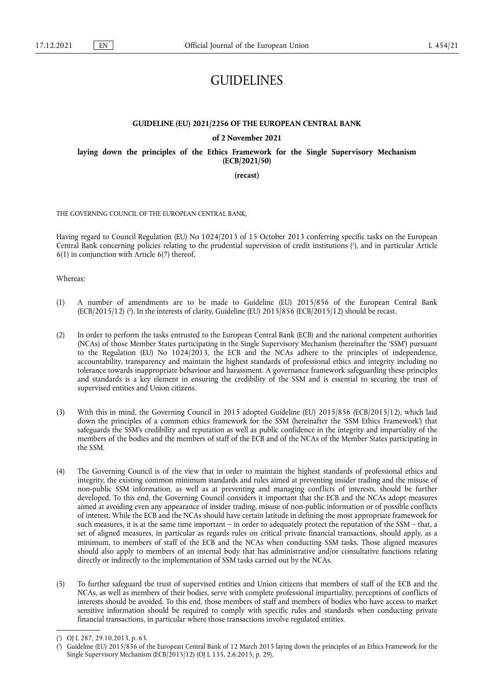# **GUIDELINES**

# **GUIDELINE (EU) 2021/2256 OF THE EUROPEAN CENTRAL BANK**

## **of 2 November 2021**

**laying down the principles of the Ethics Framework for the Single Supervisory Mechanism (ECB/2021/50)** 

**(recast)** 

THE GOVERNING COUNCIL OF THE EUROPEAN CENTRAL BANK,

<span id="page-0-2"></span>Having regard to Council Regulation (EU) No 1024/2013 of 15 October 2013 conferring specific tasks on the European Central Bank concerning policies relating to the prudential supervision of credit institutions ( 1 [\),](#page-0-0) and in particular Article 6(1) in conjunction with Article 6(7) thereof,

Whereas:

- <span id="page-0-3"></span>(1) A number of amendments are to be made to Guideline (EU) 2015/856 of the European Central Bank  $(ECB/2015/12)$  ( $\degree$ [\).](#page-0-1) In the interests of clarity, Guideline (EU) 2015/856 (ECB/2015/12) should be recast.
- (2) In order to perform the tasks entrusted to the European Central Bank (ECB) and the national competent authorities (NCAs) of those Member States participating in the Single Supervisory Mechanism (hereinafter the 'SSM') pursuant to the Regulation (EU) No 1024/2013, the ECB and the NCAs adhere to the principles of independence, accountability, transparency and maintain the highest standards of professional ethics and integrity including no tolerance towards inappropriate behaviour and harassment. A governance framework safeguarding these principles and standards is a key element in ensuring the credibility of the SSM and is essential to securing the trust of supervised entities and Union citizens.
- (3) With this in mind, the Governing Council in 2015 adopted Guideline (EU) 2015/856 (ECB/2015/12), which laid down the principles of a common ethics framework for the SSM (hereinafter the 'SSM Ethics Framework') that safeguards the SSM's credibility and reputation as well as public confidence in the integrity and impartiality of the members of the bodies and the members of staff of the ECB and of the NCAs of the Member States participating in the SSM.
- (4) The Governing Council is of the view that in order to maintain the highest standards of professional ethics and integrity, the existing common minimum standards and rules aimed at preventing insider trading and the misuse of non-public SSM information, as well as at preventing and managing conflicts of interests, should be further developed. To this end, the Governing Council considers it important that the ECB and the NCAs adopt measures aimed at avoiding even any appearance of insider trading, misuse of non-public information or of possible conflicts of interest. While the ECB and the NCAs should have certain latitude in defining the most appropriate framework for such measures, it is at the same time important – in order to adequately protect the reputation of the SSM – that, a set of aligned measures, in particular as regards rules on critical private financial transactions, should apply, as a minimum, to members of staff of the ECB and the NCAs when conducting SSM tasks. Those aligned measures should also apply to members of an internal body that has administrative and/or consultative functions relating directly or indirectly to the implementation of SSM tasks carried out by the NCAs.
- (5) To further safeguard the trust of supervised entities and Union citizens that members of staff of the ECB and the NCAs, as well as members of their bodies, serve with complete professional impartiality, perceptions of conflicts of interests should be avoided. To this end, those members of staff and members of bodies who have access to market sensitive information should be required to comply with specific rules and standards when conducting private financial transactions, in particular where those transactions involve regulated entities.

<span id="page-0-0"></span>[<sup>\(</sup>](#page-0-2) 1 ) OJ L 287, 29.10.2013, p. 63.

<span id="page-0-1"></span>[<sup>\(</sup>](#page-0-3) 2 ) Guideline (EU) 2015/856 of the European Central Bank of 12 March 2015 laying down the principles of an Ethics Framework for the Single Supervisory Mechanism (ECB/2015/12) (OJ L 135, 2.6.2015, p. 29).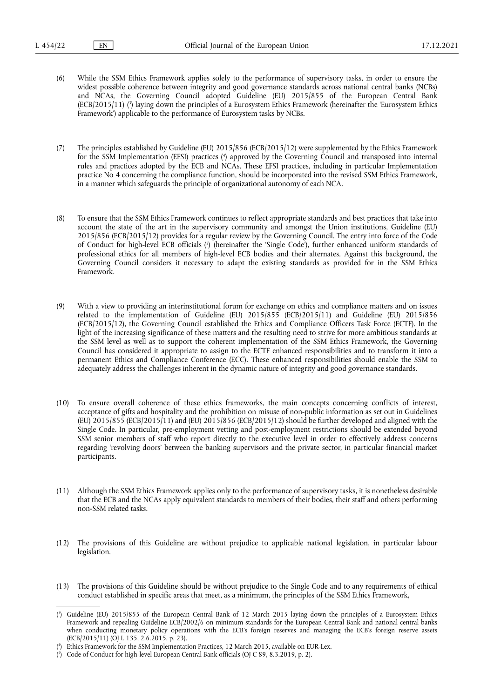<span id="page-1-3"></span>(6) While the SSM Ethics Framework applies solely to the performance of supervisory tasks, in order to ensure the widest possible coherence between integrity and good governance standards across national central banks (NCBs) and NCAs, the Governing Council adopted Guideline (EU) 2015/855 of the European Central Bank (ECB/2015/11) [\(](#page-1-0) 3 ) laying down the principles of a Eurosystem Ethics Framework (hereinafter the 'Eurosystem Ethics Framework') applicable to the performance of Eurosystem tasks by NCBs.

<span id="page-1-4"></span>(7) The principles established by Guideline (EU) 2015/856 (ECB/2015/12) were supplemented by the Ethics Framework for the SSM Implementation (EFSI) practices [\(](#page-1-1) 4 ) approved by the Governing Council and transposed into internal rules and practices adopted by the ECB and NCAs. These EFSI practices, including in particular Implementation practice No 4 concerning the compliance function, should be incorporated into the revised SSM Ethics Framework, in a manner which safeguards the principle of organizational autonomy of each NCA.

- <span id="page-1-5"></span>(8) To ensure that the SSM Ethics Framework continues to reflect appropriate standards and best practices that take into account the state of the art in the supervisory community and amongst the Union institutions, Guideline (EU) 2015/856 (ECB/2015/12) provides for a regular review by the Governing Council. The entry into force of the Code of Conduct for high-level ECB officials [\(](#page-1-2) 5 ) (hereinafter the 'Single Code'), further enhanced uniform standards of professional ethics for all members of high-level ECB bodies and their alternates. Against this background, the Governing Council considers it necessary to adapt the existing standards as provided for in the SSM Ethics Framework.
- (9) With a view to providing an interinstitutional forum for exchange on ethics and compliance matters and on issues related to the implementation of Guideline (EU) 2015/855 (ECB/2015/11) and Guideline (EU) 2015/856 (ECB/2015/12), the Governing Council established the Ethics and Compliance Officers Task Force (ECTF). In the light of the increasing significance of these matters and the resulting need to strive for more ambitious standards at the SSM level as well as to support the coherent implementation of the SSM Ethics Framework, the Governing Council has considered it appropriate to assign to the ECTF enhanced responsibilities and to transform it into a permanent Ethics and Compliance Conference (ECC). These enhanced responsibilities should enable the SSM to adequately address the challenges inherent in the dynamic nature of integrity and good governance standards.
- (10) To ensure overall coherence of these ethics frameworks, the main concepts concerning conflicts of interest, acceptance of gifts and hospitality and the prohibition on misuse of non-public information as set out in Guidelines (EU) 2015/855 (ECB/2015/11) and (EU) 2015/856 (ECB/2015/12) should be further developed and aligned with the Single Code. In particular, pre-employment vetting and post-employment restrictions should be extended beyond SSM senior members of staff who report directly to the executive level in order to effectively address concerns regarding 'revolving doors' between the banking supervisors and the private sector, in particular financial market participants.
- (11) Although the SSM Ethics Framework applies only to the performance of supervisory tasks, it is nonetheless desirable that the ECB and the NCAs apply equivalent standards to members of their bodies, their staff and others performing non-SSM related tasks.
- (12) The provisions of this Guideline are without prejudice to applicable national legislation, in particular labour legislation.
- (13) The provisions of this Guideline should be without prejudice to the Single Code and to any requirements of ethical conduct established in specific areas that meet, as a minimum, the principles of the SSM Ethics Framework,

<span id="page-1-0"></span>[<sup>\(</sup>](#page-1-3) 3 ) Guideline (EU) 2015/855 of the European Central Bank of 12 March 2015 laying down the principles of a Eurosystem Ethics Framework and repealing Guideline ECB/2002/6 on minimum standards for the European Central Bank and national central banks when conducting monetary policy operations with the ECB's foreign reserves and managing the ECB's foreign reserve assets (ECB/2015/11) (OJ L 135, 2.6.2015, p. 23).

<span id="page-1-1"></span>[<sup>\(</sup>](#page-1-4) 4 ) Ethics Framework for the SSM Implementation Practices, 12 March 2015, available on EUR-Lex.

<span id="page-1-2"></span><sup>(</sup> 5 [\)](#page-1-5) Code of Conduct for high-level European Central Bank officials (OJ C 89, 8.3.2019, p. 2).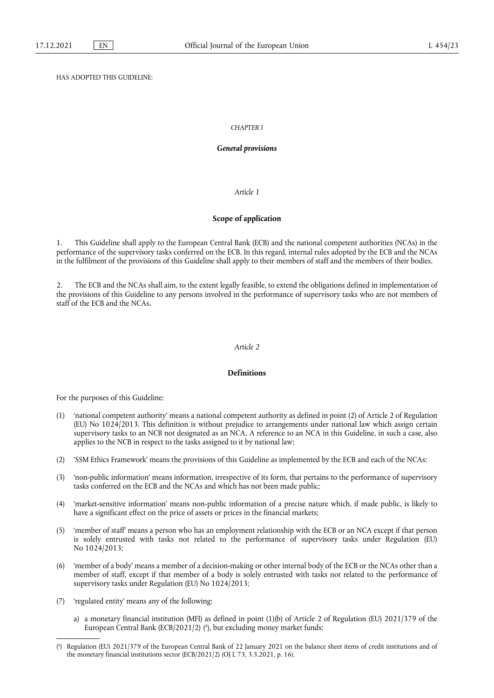# HAS ADOPTED THIS GUIDELINE:

### *CHAPTER I*

#### *General provisions*

## *Article 1*

# **Scope of application**

1. This Guideline shall apply to the European Central Bank (ECB) and the national competent authorities (NCAs) in the performance of the supervisory tasks conferred on the ECB. In this regard, internal rules adopted by the ECB and the NCAs in the fulfilment of the provisions of this Guideline shall apply to their members of staff and the members of their bodies.

2. The ECB and the NCAs shall aim, to the extent legally feasible, to extend the obligations defined in implementation of the provisions of this Guideline to any persons involved in the performance of supervisory tasks who are not members of staff of the ECB and the NCAs.

#### *Article 2*

# **Definitions**

For the purposes of this Guideline:

- (1) 'national competent authority' means a national competent authority as defined in point (2) of Article 2 of Regulation (EU) No 1024/2013. This definition is without prejudice to arrangements under national law which assign certain supervisory tasks to an NCB not designated as an NCA. A reference to an NCA in this Guideline, in such a case, also applies to the NCB in respect to the tasks assigned to it by national law;
- (2) 'SSM Ethics Framework' means the provisions of this Guideline as implemented by the ECB and each of the NCAs;
- (3) 'non-public information' means information, irrespective of its form, that pertains to the performance of supervisory tasks conferred on the ECB and the NCAs and which has not been made public;
- (4) 'market-sensitive information' means non-public information of a precise nature which, if made public, is likely to have a significant effect on the price of assets or prices in the financial markets;
- (5) 'member of staff' means a person who has an employment relationship with the ECB or an NCA except if that person is solely entrusted with tasks not related to the performance of supervisory tasks under Regulation (EU) No 1024/2013;
- (6) 'member of a body' means a member of a decision-making or other internal body of the ECB or the NCAs other than a member of staff, except if that member of a body is solely entrusted with tasks not related to the performance of supervisory tasks under Regulation (EU) No 1024/2013;
- (7) 'regulated entity' means any of the following:
	- a) a monetary financial institution (MFI) as defined in point (1)(b) of Article 2 of Regulation (EU) 2021/379 of the European Central Bank (ECB/2021/2) ( 6 [\),](#page-2-0) but excluding money market funds;

<span id="page-2-1"></span><span id="page-2-0"></span>[<sup>\(</sup>](#page-2-1) 6 ) Regulation (EU) 2021/379 of the European Central Bank of 22 January 2021 on the balance sheet items of credit institutions and of the monetary financial institutions sector (ECB/2021/2) (OJ L 73, 3.3.2021, p. 16).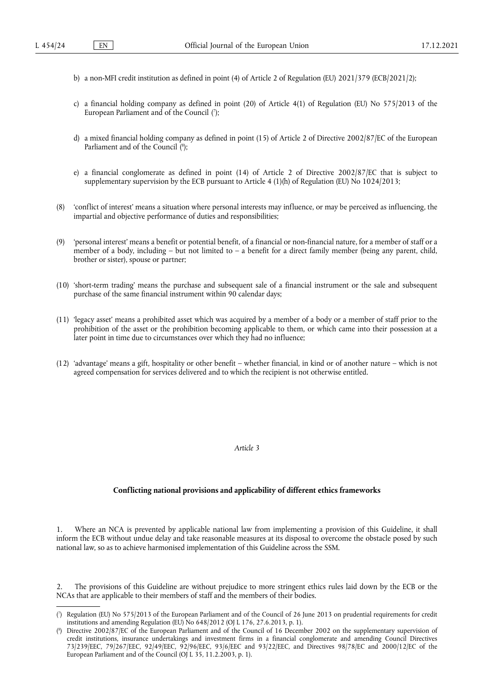- b) a non-MFI credit institution as defined in point (4) of Article 2 of Regulation (EU) 2021/379 (ECB/2021/2);
- <span id="page-3-2"></span>c) a financial holding company as defined in point (20) of Article 4(1) of Regulation (EU) No 575/2013 of the European Parliament and of the Council [\(](#page-3-0) 7 );
- <span id="page-3-3"></span>d) a mixed financial holding company as defined in point (15) of Article 2 of Directive 2002/87/EC of the European Parliament and of the Council [\(](#page-3-1)8);
- e) a financial conglomerate as defined in point (14) of Article 2 of Directive 2002/87/EC that is subject to supplementary supervision by the ECB pursuant to Article 4 (1)(h) of Regulation (EU) No 1024/2013;
- (8) 'conflict of interest' means a situation where personal interests may influence, or may be perceived as influencing, the impartial and objective performance of duties and responsibilities;
- (9) 'personal interest' means a benefit or potential benefit, of a financial or non-financial nature, for a member of staff or a member of a body, including – but not limited to – a benefit for a direct family member (being any parent, child, brother or sister), spouse or partner;
- (10) 'short-term trading' means the purchase and subsequent sale of a financial instrument or the sale and subsequent purchase of the same financial instrument within 90 calendar days;
- (11) 'legacy asset' means a prohibited asset which was acquired by a member of a body or a member of staff prior to the prohibition of the asset or the prohibition becoming applicable to them, or which came into their possession at a later point in time due to circumstances over which they had no influence;
- (12) 'advantage' means a gift, hospitality or other benefit whether financial, in kind or of another nature which is not agreed compensation for services delivered and to which the recipient is not otherwise entitled.

*Article 3*

# **Conflicting national provisions and applicability of different ethics frameworks**

Where an NCA is prevented by applicable national law from implementing a provision of this Guideline, it shall inform the ECB without undue delay and take reasonable measures at its disposal to overcome the obstacle posed by such national law, so as to achieve harmonised implementation of this Guideline across the SSM.

2. The provisions of this Guideline are without prejudice to more stringent ethics rules laid down by the ECB or the NCAs that are applicable to their members of staff and the members of their bodies.

<span id="page-3-0"></span>[<sup>\(</sup>](#page-3-2) 7 ) Regulation (EU) No 575/2013 of the European Parliament and of the Council of 26 June 2013 on prudential requirements for credit institutions and amending Regulation (EU) No 648/2012 (OJ L 176, 27.6.2013, p. 1).

<span id="page-3-1"></span>[<sup>\(</sup>](#page-3-3) 8 ) Directive 2002/87/EC of the European Parliament and of the Council of 16 December 2002 on the supplementary supervision of credit institutions, insurance undertakings and investment firms in a financial conglomerate and amending Council Directives 73/239/EEC, 79/267/EEC, 92/49/EEC, 92/96/EEC, 93/6/EEC and 93/22/EEC, and Directives 98/78/EC and 2000/12/EC of the European Parliament and of the Council (OJ L 35, 11.2.2003, p. 1).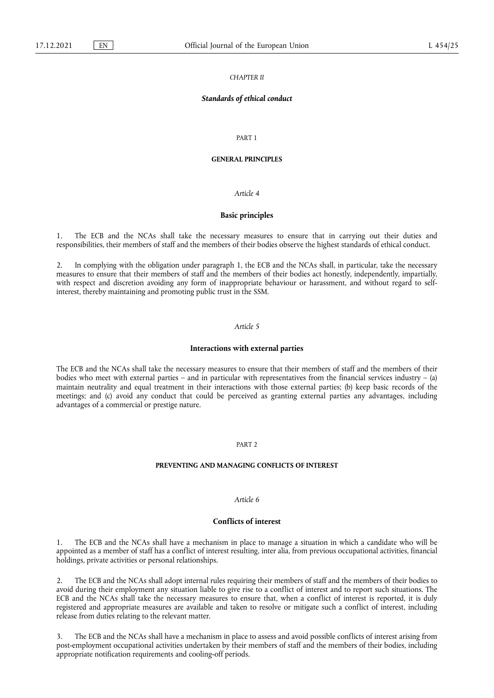#### *CHAPTER II*

# *Standards of ethical conduct*

## PART 1

# **GENERAL PRINCIPLES**

#### *Article 4*

#### **Basic principles**

The ECB and the NCAs shall take the necessary measures to ensure that in carrying out their duties and responsibilities, their members of staff and the members of their bodies observe the highest standards of ethical conduct.

2. In complying with the obligation under paragraph 1, the ECB and the NCAs shall, in particular, take the necessary measures to ensure that their members of staff and the members of their bodies act honestly, independently, impartially, with respect and discretion avoiding any form of inappropriate behaviour or harassment, and without regard to selfinterest, thereby maintaining and promoting public trust in the SSM.

# *Article 5*

#### **Interactions with external parties**

The ECB and the NCAs shall take the necessary measures to ensure that their members of staff and the members of their bodies who meet with external parties – and in particular with representatives from the financial services industry – (a) maintain neutrality and equal treatment in their interactions with those external parties; (b) keep basic records of the meetings; and (c) avoid any conduct that could be perceived as granting external parties any advantages, including advantages of a commercial or prestige nature.

# PART 2

#### **PREVENTING AND MANAGING CONFLICTS OF INTEREST**

#### *Article 6*

#### **Conflicts of interest**

1. The ECB and the NCAs shall have a mechanism in place to manage a situation in which a candidate who will be appointed as a member of staff has a conflict of interest resulting, inter alia, from previous occupational activities, financial holdings, private activities or personal relationships.

The ECB and the NCAs shall adopt internal rules requiring their members of staff and the members of their bodies to avoid during their employment any situation liable to give rise to a conflict of interest and to report such situations. The ECB and the NCAs shall take the necessary measures to ensure that, when a conflict of interest is reported, it is duly registered and appropriate measures are available and taken to resolve or mitigate such a conflict of interest, including release from duties relating to the relevant matter.

3. The ECB and the NCAs shall have a mechanism in place to assess and avoid possible conflicts of interest arising from post-employment occupational activities undertaken by their members of staff and the members of their bodies, including appropriate notification requirements and cooling-off periods.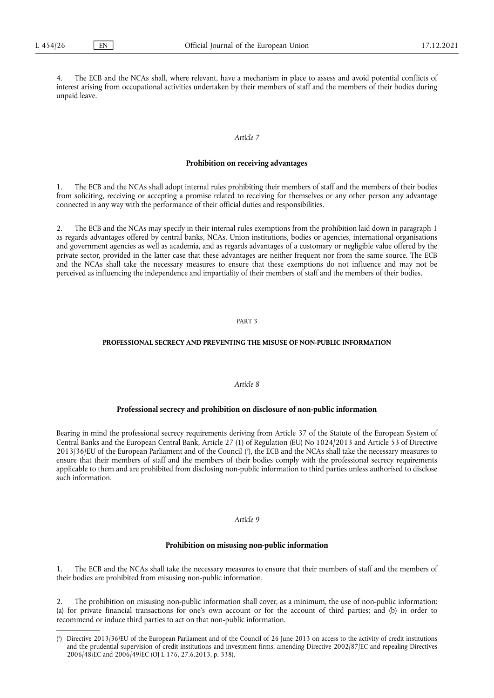The ECB and the NCAs shall, where relevant, have a mechanism in place to assess and avoid potential conflicts of interest arising from occupational activities undertaken by their members of staff and the members of their bodies during unpaid leave.

# *Article 7*

#### **Prohibition on receiving advantages**

1. The ECB and the NCAs shall adopt internal rules prohibiting their members of staff and the members of their bodies from soliciting, receiving or accepting a promise related to receiving for themselves or any other person any advantage connected in any way with the performance of their official duties and responsibilities.

2. The ECB and the NCAs may specify in their internal rules exemptions from the prohibition laid down in paragraph 1 as regards advantages offered by central banks, NCAs, Union institutions, bodies or agencies, international organisations and government agencies as well as academia, and as regards advantages of a customary or negligible value offered by the private sector, provided in the latter case that these advantages are neither frequent nor from the same source. The ECB and the NCAs shall take the necessary measures to ensure that these exemptions do not influence and may not be perceived as influencing the independence and impartiality of their members of staff and the members of their bodies.

#### PART 3

# **PROFESSIONAL SECRECY AND PREVENTING THE MISUSE OF NON-PUBLIC INFORMATION**

# *Article 8*

#### **Professional secrecy and prohibition on disclosure of non-public information**

<span id="page-5-1"></span>Bearing in mind the professional secrecy requirements deriving from Article 37 of the Statute of the European System of Central Banks and the European Central Bank, Article 27 (1) of Regulation (EU) No 1024/2013 and Article 53 of Directive 2013/36/EU of the European Parliament and of the Council [\(](#page-5-0) 9 ), the ECB and the NCAs shall take the necessary measures to ensure that their members of staff and the members of their bodies comply with the professional secrecy requirements applicable to them and are prohibited from disclosing non-public information to third parties unless authorised to disclose such information.

#### *Article 9*

#### **Prohibition on misusing non-public information**

1. The ECB and the NCAs shall take the necessary measures to ensure that their members of staff and the members of their bodies are prohibited from misusing non-public information.

2. The prohibition on misusing non-public information shall cover, as a minimum, the use of non-public information: (a) for private financial transactions for one's own account or for the account of third parties; and (b) in order to recommend or induce third parties to act on that non-public information.

<span id="page-5-0"></span>[<sup>\(</sup>](#page-5-1) 9 ) Directive 2013/36/EU of the European Parliament and of the Council of 26 June 2013 on access to the activity of credit institutions and the prudential supervision of credit institutions and investment firms, amending Directive 2002/87/EC and repealing Directives 2006/48/EC and 2006/49/EC (OJ L 176, 27.6.2013, p. 338).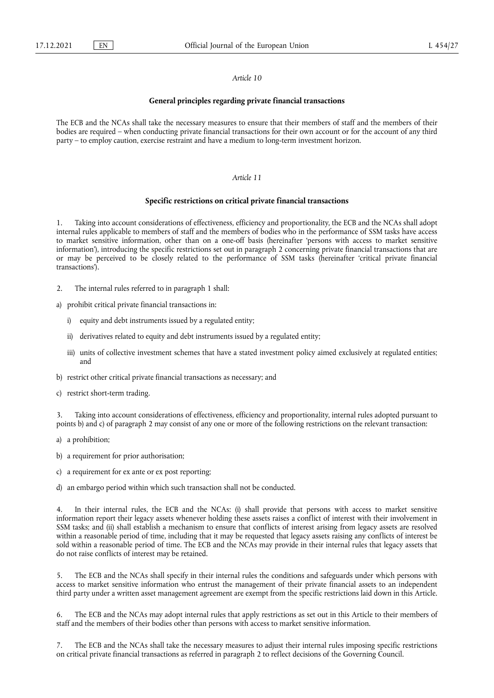#### *Article 10*

## **General principles regarding private financial transactions**

The ECB and the NCAs shall take the necessary measures to ensure that their members of staff and the members of their bodies are required – when conducting private financial transactions for their own account or for the account of any third party – to employ caution, exercise restraint and have a medium to long-term investment horizon.

# *Article 11*

#### **Specific restrictions on critical private financial transactions**

Taking into account considerations of effectiveness, efficiency and proportionality, the ECB and the NCAs shall adopt internal rules applicable to members of staff and the members of bodies who in the performance of SSM tasks have access to market sensitive information, other than on a one-off basis (hereinafter 'persons with access to market sensitive information'), introducing the specific restrictions set out in paragraph 2 concerning private financial transactions that are or may be perceived to be closely related to the performance of SSM tasks (hereinafter 'critical private financial transactions').

- 2. The internal rules referred to in paragraph 1 shall:
- a) prohibit critical private financial transactions in:
	- i) equity and debt instruments issued by a regulated entity;
	- ii) derivatives related to equity and debt instruments issued by a regulated entity;
	- iii) units of collective investment schemes that have a stated investment policy aimed exclusively at regulated entities; and
- b) restrict other critical private financial transactions as necessary; and
- c) restrict short-term trading.

3. Taking into account considerations of effectiveness, efficiency and proportionality, internal rules adopted pursuant to points b) and c) of paragraph 2 may consist of any one or more of the following restrictions on the relevant transaction:

- a) a prohibition;
- b) a requirement for prior authorisation;
- c) a requirement for ex ante or ex post reporting;
- d) an embargo period within which such transaction shall not be conducted.

4. In their internal rules, the ECB and the NCAs: (i) shall provide that persons with access to market sensitive information report their legacy assets whenever holding these assets raises a conflict of interest with their involvement in SSM tasks; and (ii) shall establish a mechanism to ensure that conflicts of interest arising from legacy assets are resolved within a reasonable period of time, including that it may be requested that legacy assets raising any conflicts of interest be sold within a reasonable period of time. The ECB and the NCAs may provide in their internal rules that legacy assets that do not raise conflicts of interest may be retained.

5. The ECB and the NCAs shall specify in their internal rules the conditions and safeguards under which persons with access to market sensitive information who entrust the management of their private financial assets to an independent third party under a written asset management agreement are exempt from the specific restrictions laid down in this Article.

6. The ECB and the NCAs may adopt internal rules that apply restrictions as set out in this Article to their members of staff and the members of their bodies other than persons with access to market sensitive information.

The ECB and the NCAs shall take the necessary measures to adjust their internal rules imposing specific restrictions on critical private financial transactions as referred in paragraph 2 to reflect decisions of the Governing Council.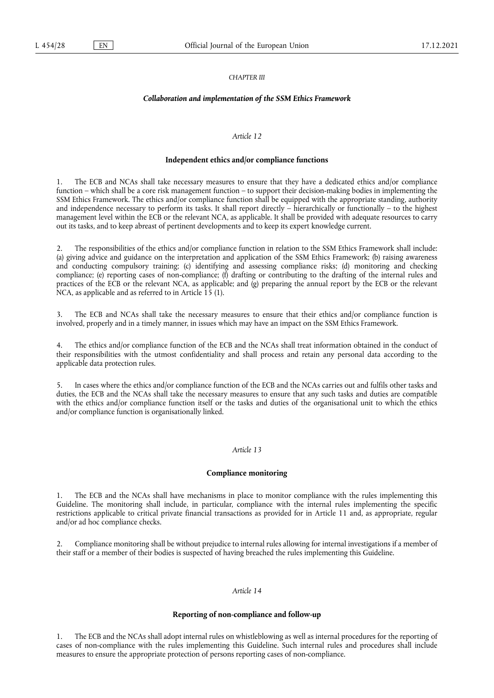#### *CHAPTER III*

## *Collaboration and implementation of the SSM Ethics Framework*

#### *Article 12*

#### **Independent ethics and/or compliance functions**

1. The ECB and NCAs shall take necessary measures to ensure that they have a dedicated ethics and/or compliance function – which shall be a core risk management function – to support their decision-making bodies in implementing the SSM Ethics Framework. The ethics and/or compliance function shall be equipped with the appropriate standing, authority and independence necessary to perform its tasks. It shall report directly – hierarchically or functionally – to the highest management level within the ECB or the relevant NCA, as applicable. It shall be provided with adequate resources to carry out its tasks, and to keep abreast of pertinent developments and to keep its expert knowledge current.

2. The responsibilities of the ethics and/or compliance function in relation to the SSM Ethics Framework shall include: (a) giving advice and guidance on the interpretation and application of the SSM Ethics Framework; (b) raising awareness and conducting compulsory training; (c) identifying and assessing compliance risks; (d) monitoring and checking compliance; (e) reporting cases of non-compliance; (f) drafting or contributing to the drafting of the internal rules and practices of the ECB or the relevant NCA, as applicable; and (g) preparing the annual report by the ECB or the relevant NCA, as applicable and as referred to in Article 15 (1).

3. The ECB and NCAs shall take the necessary measures to ensure that their ethics and/or compliance function is involved, properly and in a timely manner, in issues which may have an impact on the SSM Ethics Framework.

4. The ethics and/or compliance function of the ECB and the NCAs shall treat information obtained in the conduct of their responsibilities with the utmost confidentiality and shall process and retain any personal data according to the applicable data protection rules.

5. In cases where the ethics and/or compliance function of the ECB and the NCAs carries out and fulfils other tasks and duties, the ECB and the NCAs shall take the necessary measures to ensure that any such tasks and duties are compatible with the ethics and/or compliance function itself or the tasks and duties of the organisational unit to which the ethics and/or compliance function is organisationally linked.

# *Article 13*

#### **Compliance monitoring**

The ECB and the NCAs shall have mechanisms in place to monitor compliance with the rules implementing this Guideline. The monitoring shall include, in particular, compliance with the internal rules implementing the specific restrictions applicable to critical private financial transactions as provided for in Article 11 and, as appropriate, regular and/or ad hoc compliance checks.

2. Compliance monitoring shall be without prejudice to internal rules allowing for internal investigations if a member of their staff or a member of their bodies is suspected of having breached the rules implementing this Guideline.

## *Article 14*

## **Reporting of non-compliance and follow-up**

1. The ECB and the NCAs shall adopt internal rules on whistleblowing as well as internal procedures for the reporting of cases of non-compliance with the rules implementing this Guideline. Such internal rules and procedures shall include measures to ensure the appropriate protection of persons reporting cases of non-compliance.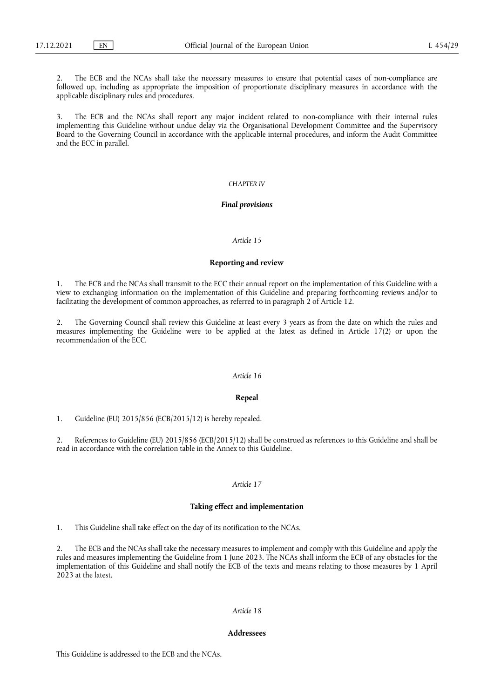The ECB and the NCAs shall take the necessary measures to ensure that potential cases of non-compliance are followed up, including as appropriate the imposition of proportionate disciplinary measures in accordance with the applicable disciplinary rules and procedures.

3. The ECB and the NCAs shall report any major incident related to non-compliance with their internal rules implementing this Guideline without undue delay via the Organisational Development Committee and the Supervisory Board to the Governing Council in accordance with the applicable internal procedures, and inform the Audit Committee and the ECC in parallel.

#### *CHAPTER IV*

#### *Final provisions*

# *Article 15*

#### **Reporting and review**

1. The ECB and the NCAs shall transmit to the ECC their annual report on the implementation of this Guideline with a view to exchanging information on the implementation of this Guideline and preparing forthcoming reviews and/or to facilitating the development of common approaches, as referred to in paragraph 2 of Article 12.

2. The Governing Council shall review this Guideline at least every 3 years as from the date on which the rules and measures implementing the Guideline were to be applied at the latest as defined in Article 17(2) or upon the recommendation of the ECC.

## *Article 16*

#### **Repeal**

1. Guideline (EU) 2015/856 (ECB/2015/12) is hereby repealed.

2. References to Guideline (EU) 2015/856 (ECB/2015/12) shall be construed as references to this Guideline and shall be read in accordance with the correlation table in the Annex to this Guideline.

# *Article 17*

#### **Taking effect and implementation**

1. This Guideline shall take effect on the day of its notification to the NCAs.

2. The ECB and the NCAs shall take the necessary measures to implement and comply with this Guideline and apply the rules and measures implementing the Guideline from 1 June 2023. The NCAs shall inform the ECB of any obstacles for the implementation of this Guideline and shall notify the ECB of the texts and means relating to those measures by 1 April 2023 at the latest.

## *Article 18*

# **Addressees**

This Guideline is addressed to the ECB and the NCAs.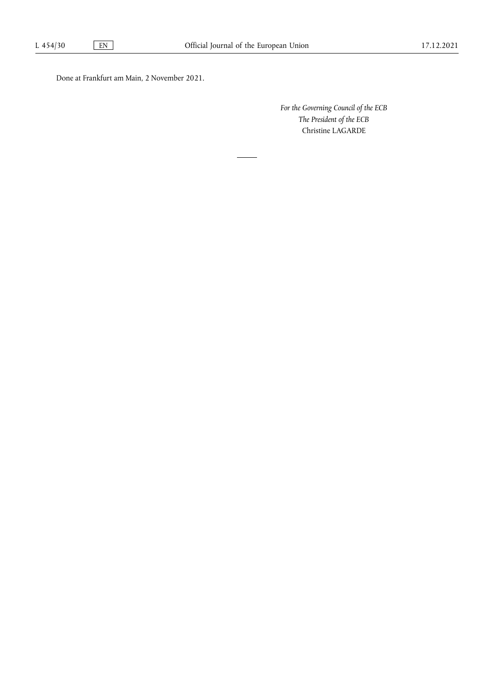Done at Frankfurt am Main, 2 November 2021.

*For the Governing Council of the ECB The President of the ECB* Christine LAGARDE